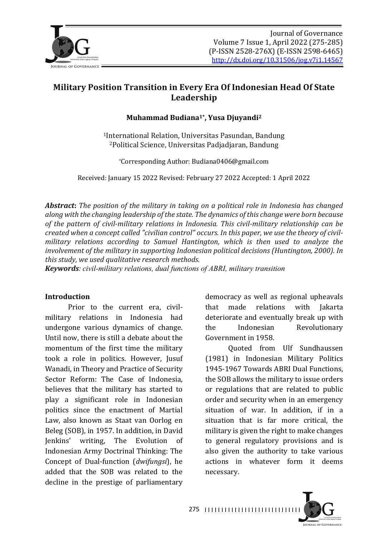

# **Military Position Transition in Every Era Of Indonesian Head Of State Leadership**

#### **Muhammad Budiana1\*, Yusa Djuyandi2**

<sup>1</sup>International Relation, Universitas Pasundan, Bandung <sup>2</sup>Political Science, Universitas Padjadjaran, Bandung

\*Corresponding Author: Budiana0406@gmail.com

Received: January 15 2022 Revised: February 27 2022 Accepted: 1 April 2022

*Abstract:* The position of the military in taking on a political role in Indonesia has changed along with the changing leadership of the state. The dynamics of this change were born because of the pattern of civil-military relations in Indonesia. This civil-military relationship can be created when a concept called "civilian control" occurs. In this paper, we use the theory of civil*military relations according to Samuel Hantington, which is then used to analyze the involvement of the military in supporting Indonesian political decisions (Huntington, 2000). In* this study, we used qualitative research methods.

*Keywords: civil-military relations, dual functions of ABRI, military transition* 

#### **Introduction**

Prior to the current era, civilmilitary relations in Indonesia had undergone various dynamics of change. Until now, there is still a debate about the momentum of the first time the military took a role in politics. However, Jusuf Wanadi, in Theory and Practice of Security Sector Reform: The Case of Indonesia, believes that the military has started to play a significant role in Indonesian politics since the enactment of Martial Law, also known as Staat van Oorlog en Beleg (SOB), in 1957. In addition, in David Jenkins' writing, The Evolution of Indonesian Army Doctrinal Thinking: The Concept of Dual-function (*dwifungsi*), he added that the SOB was related to the decline in the prestige of parliamentary

democracy as well as regional upheavals that made relations with Jakarta deteriorate and eventually break up with the Indonesian Revolutionary Government in 1958.

Quoted from Ulf Sundhaussen (1981) in Indonesian Military Politics 1945-1967 Towards ABRI Dual Functions. the SOB allows the military to issue orders or regulations that are related to public order and security when in an emergency  $s$  ituation of war. In addition, if in a situation that is far more critical, the military is given the right to make changes to general regulatory provisions and is also given the authority to take various actions in whatever form it deems necessary.

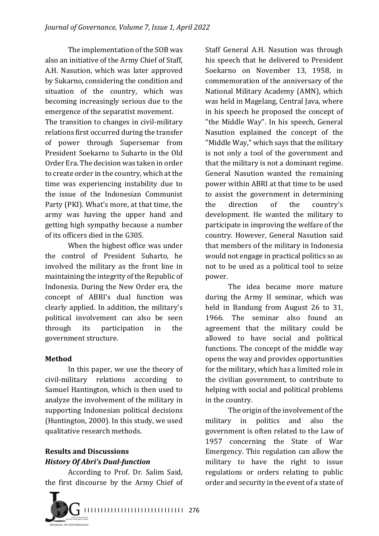The implementation of the SOB was also an initiative of the Army Chief of Staff, A.H. Nasution, which was later approved by Sukarno, considering the condition and situation of the country, which was becoming increasingly serious due to the emergence of the separatist movement.

The transition to changes in civil-military relations first occurred during the transfer of power through Supersemar from President Soekarno to Suharto in the Old Order Era. The decision was taken in order to create order in the country, which at the time was experiencing instability due to the issue of the Indonesian Communist Party (PKI). What's more, at that time, the army was having the upper hand and getting high sympathy because a number of its officers died in the G30S.

When the highest office was under the control of President Suharto, he involved the military as the front line in maintaining the integrity of the Republic of Indonesia. During the New Order era, the concept of ABRI's dual function was clearly applied. In addition, the military's political involvement can also be seen through its participation in the government structure.

#### **Method**

In this paper, we use the theory of civil-military relations according to Samuel Hantington, which is then used to analyze the involvement of the military in supporting Indonesian political decisions (Huntington, 2000). In this study, we used qualitative research methods.

### **Results and Discussions** *History Of Abri's Dual-function*

According to Prof. Dr. Salim Said, the first discourse by the Army Chief of



Staff General A.H. Nasution was through his speech that he delivered to President Soekarno on November 13, 1958, in commemoration of the anniversary of the National Military Academy (AMN), which was held in Magelang, Central Java, where in his speech he proposed the concept of "the Middle Way". In his speech, General Nasution explained the concept of the "Middle Way," which says that the military is not only a tool of the government and that the military is not a dominant regime. General Nasution wanted the remaining power within ABRI at that time to be used to assist the government in determining the direction of the country's development. He wanted the military to participate in improving the welfare of the country. However, General Nasution said that members of the military in Indonesia would not engage in practical politics so as not to be used as a political tool to seize power.

The idea became more mature during the Army II seminar, which was held in Bandung from August 26 to 31. 1966. The seminar also found an agreement that the military could be allowed to have social and political functions. The concept of the middle way opens the way and provides opportunities for the military, which has a limited role in the civilian government, to contribute to helping with social and political problems in the country.

The origin of the involvement of the military in politics and also the government is often related to the Law of 1957 concerning the State of War Emergency. This regulation can allow the military to have the right to issue regulations or orders relating to public order and security in the event of a state of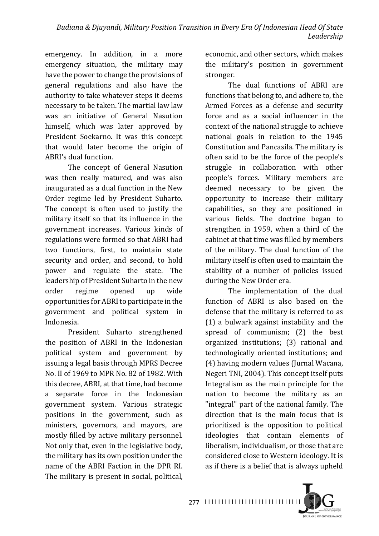emergency. In addition, in a more emergency situation, the military may have the power to change the provisions of general regulations and also have the authority to take whatever steps it deems necessary to be taken. The martial law law was an initiative of General Nasution himself, which was later approved by President Soekarno. It was this concept that would later become the origin of ABRI's dual function.

The concept of General Nasution was then really matured, and was also inaugurated as a dual function in the New Order regime led by President Suharto. The concept is often used to justify the military itself so that its influence in the government increases. Various kinds of regulations were formed so that ABRI had two functions, first, to maintain state security and order, and second, to hold power and regulate the state. The leadership of President Suharto in the new order regime opened up wide opportunities for ABRI to participate in the government and political system in Indonesia.

President Suharto strengthened the position of ABRI in the Indonesian political system and government by issuing a legal basis through MPRS Decree No. II of 1969 to MPR No. 82 of 1982. With this decree, ABRI, at that time, had become a separate force in the Indonesian government system. Various strategic positions in the government, such as ministers, governors, and mayors, are mostly filled by active military personnel. Not only that, even in the legislative body, the military has its own position under the name of the ABRI Faction in the DPR RI. The military is present in social, political,

economic, and other sectors, which makes the military's position in government stronger.

The dual functions of ABRI are functions that belong to, and adhere to, the Armed Forces as a defense and security force and as a social influencer in the context of the national struggle to achieve national goals in relation to the 1945 Constitution and Pancasila. The military is often said to be the force of the people's struggle in collaboration with other people's forces. Military members are deemed necessary to be given the opportunity to increase their military capabilities, so they are positioned in various fields. The doctrine began to strengthen in 1959, when a third of the cabinet at that time was filled by members of the military. The dual function of the military itself is often used to maintain the stability of a number of policies issued during the New Order era.

The implementation of the dual function of ABRI is also based on the defense that the military is referred to as  $(1)$  a bulwark against instability and the spread of communism; (2) the best organized institutions; (3) rational and technologically oriented institutions; and (4) having modern values (Jurnal Wacana, Negeri TNI, 2004). This concept itself puts Integralism as the main principle for the nation to become the military as an "integral" part of the national family. The direction that is the main focus that is prioritized is the opposition to political ideologies that contain elements of liberalism, individualism, or those that are considered close to Western ideology. It is as if there is a belief that is always upheld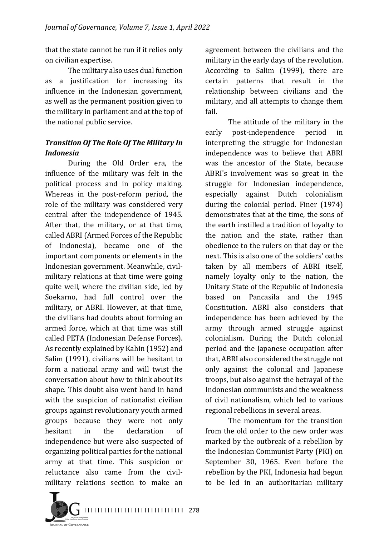that the state cannot be run if it relies only on civilian expertise.

The military also uses dual function as a justification for increasing its influence in the Indonesian government, as well as the permanent position given to the military in parliament and at the top of the national public service.

## **Transition Of The Role Of The Military In** *Indonesia*

During the Old Order era, the influence of the military was felt in the political process and in policy making. Whereas in the post-reform period, the role of the military was considered very central after the independence of 1945. After that, the military, or at that time, called ABRI (Armed Forces of the Republic of Indonesia), became one of the important components or elements in the Indonesian government. Meanwhile, civilmilitary relations at that time were going quite well, where the civilian side, led by Soekarno, had full control over the military, or ABRI. However, at that time, the civilians had doubts about forming an armed force, which at that time was still called PETA (Indonesian Defense Forces). As recently explained by Kahin (1952) and Salim (1991), civilians will be hesitant to form a national army and will twist the conversation about how to think about its shape. This doubt also went hand in hand with the suspicion of nationalist civilian groups against revolutionary youth armed groups because they were not only hesitant in the declaration of independence but were also suspected of organizing political parties for the national army at that time. This suspicion or reluctance also came from the civilmilitary relations section to make an

agreement between the civilians and the military in the early days of the revolution. According to Salim (1999), there are certain patterns that result in the relationship between civilians and the military, and all attempts to change them fail.

The attitude of the military in the early post-independence period in interpreting the struggle for Indonesian independence was to believe that ABRI was the ancestor of the State, because ABRI's involvement was so great in the struggle for Indonesian independence, especially against Dutch colonialism during the colonial period. Finer (1974) demonstrates that at the time, the sons of the earth instilled a tradition of loyalty to the nation and the state, rather than obedience to the rulers on that day or the next. This is also one of the soldiers' oaths taken by all members of ABRI itself, namely loyalty only to the nation, the Unitary State of the Republic of Indonesia based on Pancasila and the 1945 Constitution. ABRI also considers that independence has been achieved by the army through armed struggle against colonialism. During the Dutch colonial period and the Japanese occupation after that, ABRI also considered the struggle not only against the colonial and Japanese troops, but also against the betrayal of the Indonesian communists and the weakness of civil nationalism, which led to various regional rebellions in several areas.

The momentum for the transition from the old order to the new order was marked by the outbreak of a rebellion by the Indonesian Communist Party (PKI) on September 30, 1965. Even before the rebellion by the PKI, Indonesia had begun to be led in an authoritarian military

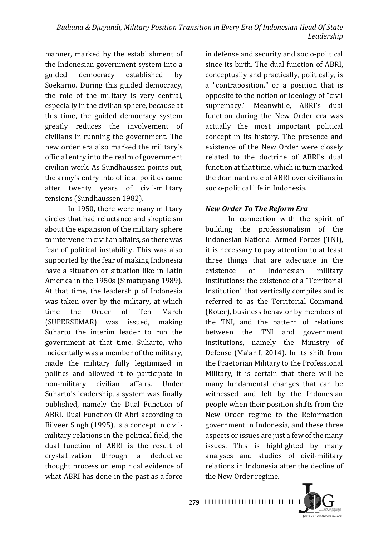manner, marked by the establishment of the Indonesian government system into a guided democracy established by Soekarno. During this guided democracy, the role of the military is very central, especially in the civilian sphere, because at this time, the guided democracy system greatly reduces the involvement of civilians in running the government. The new order era also marked the military's official entry into the realm of government civilian work. As Sundhaussen points out, the army's entry into official politics came after twenty vears of civil-military tensions (Sundhaussen 1982).

In 1950, there were many military circles that had reluctance and skepticism about the expansion of the military sphere to intervene in civilian affairs, so there was fear of political instability. This was also supported by the fear of making Indonesia have a situation or situation like in Latin America in the 1950s (Simatupang 1989). At that time, the leadership of Indonesia was taken over by the military, at which time the Order of Ten March (SUPERSEMAR) was issued, making Suharto the interim leader to run the government at that time. Suharto, who incidentally was a member of the military, made the military fully legitimized in politics and allowed it to participate in non-military civilian affairs. Under Suharto's leadership, a system was finally published, namely the Dual Function of ABRI. Dual Function Of Abri according to Bilveer Singh (1995), is a concept in civilmilitary relations in the political field, the dual function of ABRI is the result of crystallization through a deductive thought process on empirical evidence of what ABRI has done in the past as a force

in defense and security and socio-political since its birth. The dual function of ABRI, conceptually and practically, politically, is a "contraposition," or a position that is opposite to the notion or ideology of "civil" supremacy." Meanwhile, ABRI's dual function during the New Order era was actually the most important political concept in its history. The presence and existence of the New Order were closely related to the doctrine of ABRI's dual function at that time, which in turn marked the dominant role of ABRI over civilians in socio-political life in Indonesia.

### *New Order To The Reform Era*

In connection with the spirit of building the professionalism of the Indonesian National Armed Forces (TNI), it is necessary to pay attention to at least three things that are adequate in the existence of Indonesian military institutions: the existence of a "Territorial Institution" that vertically compiles and is referred to as the Territorial Command (Koter), business behavior by members of the TNI, and the pattern of relations between the TNI and government institutions, namely the Ministry of Defense (Ma'arif, 2014). In its shift from the Praetorian Military to the Professional Military, it is certain that there will be many fundamental changes that can be witnessed and felt by the Indonesian people when their position shifts from the New Order regime to the Reformation government in Indonesia, and these three aspects or issues are just a few of the many issues. This is highlighted by many analyses and studies of civil-military relations in Indonesia after the decline of the New Order regime.

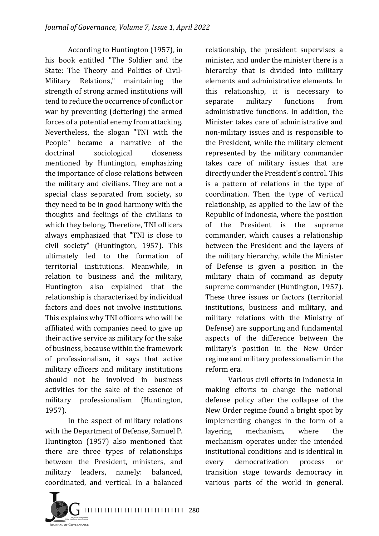According to Huntington (1957), in his book entitled "The Soldier and the State: The Theory and Politics of Civil-Military Relations," maintaining the strength of strong armed institutions will tend to reduce the occurrence of conflict or war by preventing (dettering) the armed forces of a potential enemy from attacking. Nevertheless, the slogan "TNI with the People" became a narrative of the doctrinal sociological closeness mentioned by Huntington, emphasizing the importance of close relations between the military and civilians. They are not a special class separated from society, so they need to be in good harmony with the thoughts and feelings of the civilians to which they belong. Therefore, TNI officers always emphasized that "TNI is close to civil society" (Huntington, 1957). This ultimately led to the formation of territorial institutions. Meanwhile, in relation to business and the military, Huntington also explained that the relationship is characterized by individual factors and does not involve institutions. This explains why TNI officers who will be affiliated with companies need to give up their active service as military for the sake of business, because within the framework of professionalism, it says that active military officers and military institutions should not be involved in business activities for the sake of the essence of military professionalism (Huntington, 1957).

In the aspect of military relations with the Department of Defense, Samuel P. Huntington (1957) also mentioned that there are three types of relationships between the President, ministers, and military leaders, namely: balanced, coordinated, and vertical. In a balanced 

relationship, the president supervises a minister, and under the minister there is a hierarchy that is divided into military elements and administrative elements. In this relationship, it is necessary to separate military functions from administrative functions. In addition, the Minister takes care of administrative and non-military issues and is responsible to the President, while the military element represented by the military commander takes care of military issues that are directly under the President's control. This is a pattern of relations in the type of coordination. Then the type of vertical relationship, as applied to the law of the Republic of Indonesia, where the position of the President is the supreme commander, which causes a relationship between the President and the layers of the military hierarchy, while the Minister of Defense is given a position in the military chain of command as deputy supreme commander (Huntington, 1957). These three issues or factors (territorial institutions, business and military, and military relations with the Ministry of Defense) are supporting and fundamental aspects of the difference between the military's position in the New Order regime and military professionalism in the reform era.

Various civil efforts in Indonesia in making efforts to change the national defense policy after the collapse of the New Order regime found a bright spot by implementing changes in the form of a lavering mechanism, where the mechanism operates under the intended institutional conditions and is identical in every democratization process or transition stage towards democracy in various parts of the world in general.

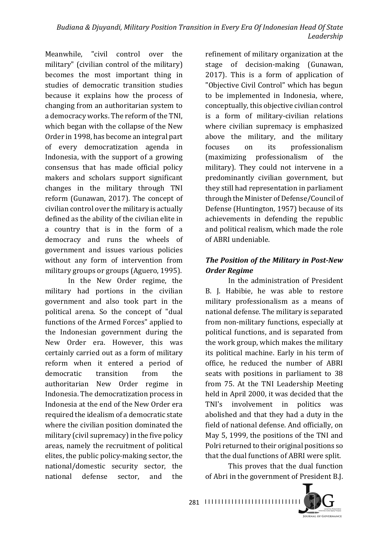Meanwhile, "civil control over the military" (civilian control of the military) becomes the most important thing in studies of democratic transition studies because it explains how the process of changing from an authoritarian system to a democracy works. The reform of the TNI, which began with the collapse of the New Order in 1998, has become an integral part of every democratization agenda in Indonesia, with the support of a growing consensus that has made official policy makers and scholars support significant changes in the military through TNI reform (Gunawan, 2017). The concept of civilian control over the military is actually defined as the ability of the civilian elite in a country that is in the form of a democracy and runs the wheels of government and issues various policies without any form of intervention from military groups or groups (Aguero, 1995).

In the New Order regime, the military had portions in the civilian government and also took part in the political arena. So the concept of "dual functions of the Armed Forces" applied to the Indonesian government during the New Order era. However, this was certainly carried out as a form of military reform when it entered a period of democratic transition from the authoritarian New Order regime in Indonesia. The democratization process in Indonesia at the end of the New Order era required the idealism of a democratic state where the civilian position dominated the military (civil supremacy) in the five policy areas, namely the recruitment of political elites, the public policy-making sector, the national/domestic security sector, the national defense sector, and the

refinement of military organization at the stage of decision-making (Gunawan,  $2017$ ). This is a form of application of "Objective Civil Control" which has begun to be implemented in Indonesia, where, conceptually, this objective civilian control is a form of military-civilian relations where civilian supremacy is emphasized above the military, and the military focuses on its professionalism (maximizing professionalism of the military). They could not intervene in a predominantly civilian government, but they still had representation in parliament through the Minister of Defense/Council of Defense (Huntington, 1957) because of its achievements in defending the republic and political realism, which made the role of ABRI undeniable.

# **The Position of the Military in Post-New** *Order Regime*

In the administration of President B. I. Habibie, he was able to restore military professionalism as a means of national defense. The military is separated from non-military functions, especially at political functions, and is separated from the work group, which makes the military its political machine. Early in his term of office, he reduced the number of ABRI seats with positions in parliament to 38 from 75. At the TNI Leadership Meeting held in April 2000, it was decided that the TNI's involvement in politics was abolished and that they had a duty in the field of national defense. And officially, on May 5, 1999, the positions of the TNI and Polri returned to their original positions so that the dual functions of ABRI were split.

This proves that the dual function of Abri in the government of President B.J.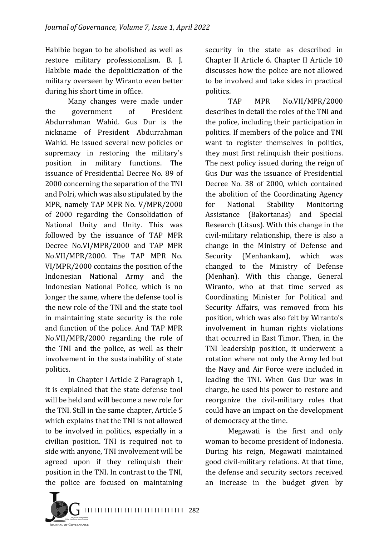Habibie began to be abolished as well as restore military professionalism. B. J. Habibie made the depoliticization of the military overseen by Wiranto even better during his short time in office.

Many changes were made under the government of President Abdurrahman Wahid. Gus Dur is the nickname of President Abdurrahman Wahid. He issued several new policies or supremacy in restoring the military's position in military functions. The issuance of Presidential Decree No. 89 of 2000 concerning the separation of the TNI and Polri, which was also stipulated by the MPR, namely TAP MPR No. V/MPR/2000 of 2000 regarding the Consolidation of National Unity and Unity. This was followed by the issuance of TAP MPR Decree No.VI/MPR/2000 and TAP MPR No.VII/MPR/2000. The TAP MPR No. VI/MPR/2000 contains the position of the Indonesian National Army and the Indonesian National Police, which is no longer the same, where the defense tool is the new role of the TNI and the state tool in maintaining state security is the role and function of the police. And TAP MPR No.VII/MPR/2000 regarding the role of the TNI and the police, as well as their involvement in the sustainability of state politics.

In Chapter I Article 2 Paragraph 1, it is explained that the state defense tool will be held and will become a new role for the TNI. Still in the same chapter, Article 5 which explains that the TNI is not allowed to be involved in politics, especially in a civilian position. TNI is required not to side with anyone, TNI involvement will be agreed upon if they relinquish their position in the TNI. In contrast to the TNI, the police are focused on maintaining

security in the state as described in Chapter II Article 6. Chapter II Article 10 discusses how the police are not allowed to be involved and take sides in practical politics.

TAP MPR No.VII/MPR/2000 describes in detail the roles of the TNI and the police, including their participation in politics. If members of the police and TNI want to register themselves in politics, they must first relinquish their positions. The next policy issued during the reign of Gus Dur was the issuance of Presidential Decree No. 38 of 2000, which contained the abolition of the Coordinating Agency for National Stability Monitoring Assistance (Bakortanas) and Special Research (Litsus). With this change in the civil-military relationship, there is also a change in the Ministry of Defense and Security (Menhankam), which was changed to the Ministry of Defense (Menhan). With this change, General Wiranto, who at that time served as Coordinating Minister for Political and Security Affairs, was removed from his position, which was also felt by Wiranto's involvement in human rights violations that occurred in East Timor. Then, in the TNI leadership position, it underwent a rotation where not only the Army led but the Navy and Air Force were included in leading the TNI. When Gus Dur was in charge, he used his power to restore and reorganize the civil-military roles that could have an impact on the development of democracy at the time.

Megawati is the first and only woman to become president of Indonesia. During his reign, Megawati maintained good civil-military relations. At that time, the defense and security sectors received an increase in the budget given by

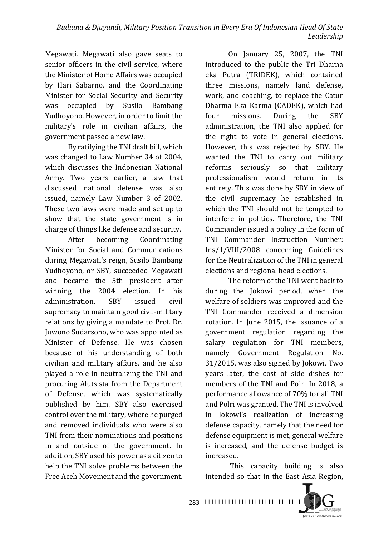Megawati. Megawati also gave seats to senior officers in the civil service, where the Minister of Home Affairs was occupied by Hari Sabarno, and the Coordinating Minister for Social Security and Security was occupied by Susilo Bambang Yudhoyono. However, in order to limit the military's role in civilian affairs, the government passed a new law.

By ratifying the TNI draft bill, which was changed to Law Number 34 of 2004, which discusses the Indonesian National Army. Two years earlier, a law that discussed national defense was also issued, namely Law Number 3 of 2002. These two laws were made and set up to show that the state government is in charge of things like defense and security.

After becoming Coordinating Minister for Social and Communications during Megawati's reign, Susilo Bambang Yudhoyono, or SBY, succeeded Megawati and became the 5th president after winning the 2004 election. In his administration, SBY issued civil supremacy to maintain good civil-military relations by giving a mandate to Prof. Dr. Juwono Sudarsono, who was appointed as Minister of Defense. He was chosen because of his understanding of both civilian and military affairs, and he also played a role in neutralizing the TNI and procuring Alutsista from the Department of Defense, which was systematically published by him. SBY also exercised control over the military, where he purged and removed individuals who were also TNI from their nominations and positions in and outside of the government. In addition, SBY used his power as a citizen to help the TNI solve problems between the Free Aceh Movement and the government.

On January 25, 2007, the TNI introduced to the public the Tri Dharna eka Putra (TRIDEK), which contained three missions, namely land defense, work, and coaching, to replace the Catur Dharma Eka Karma (CADEK), which had four missions. During the SBY administration, the TNI also applied for the right to vote in general elections. However, this was rejected by SBY. He wanted the TNI to carry out military reforms seriously so that military professionalism would return in its entirety. This was done by SBY in view of the civil supremacy he established in which the TNI should not be tempted to interfere in politics. Therefore, the TNI Commander issued a policy in the form of TNI Commander Instruction Number: Ins/1/VIII/2008 concerning Guidelines for the Neutralization of the TNI in general elections and regional head elections.

The reform of the TNI went back to during the Jokowi period, when the welfare of soldiers was improved and the TNI Commander received a dimension rotation. In June 2015, the issuance of a government regulation regarding the salary regulation for TNI members, namely Government Regulation No. 31/2015, was also signed by Jokowi. Two years later, the cost of side dishes for members of the TNI and Polri In 2018, a performance allowance of 70% for all TNI and Polri was granted. The TNI is involved in Jokowi's realization of increasing defense capacity, namely that the need for defense equipment is met, general welfare is increased, and the defense budget is increased.

This capacity building is also intended so that in the East Asia Region,

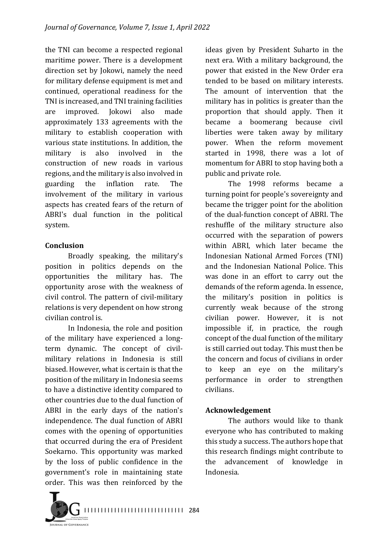the TNI can become a respected regional maritime power. There is a development direction set by Jokowi, namely the need for military defense equipment is met and continued, operational readiness for the TNI is increased, and TNI training facilities are improved. Jokowi also made approximately 133 agreements with the military to establish cooperation with various state institutions. In addition, the military is also involved in the construction of new roads in various regions, and the military is also involved in guarding the inflation rate. The involvement of the military in various aspects has created fears of the return of ABRI's dual function in the political system.

#### **Conclusion**

Broadly speaking, the military's position in politics depends on the opportunities the military has. The opportunity arose with the weakness of civil control. The pattern of civil-military relations is very dependent on how strong civilian control is.

In Indonesia, the role and position of the military have experienced a longterm dynamic. The concept of civilmilitary relations in Indonesia is still biased. However, what is certain is that the position of the military in Indonesia seems to have a distinctive identity compared to other countries due to the dual function of ABRI in the early days of the nation's independence. The dual function of ABRI comes with the opening of opportunities that occurred during the era of President Soekarno. This opportunity was marked by the loss of public confidence in the government's role in maintaining state order. This was then reinforced by the

ideas given by President Suharto in the next era. With a military background, the power that existed in the New Order era tended to be based on military interests. The amount of intervention that the military has in politics is greater than the proportion that should apply. Then it became a boomerang because civil liberties were taken away by military power. When the reform movement started in 1998, there was a lot of momentum for ABRI to stop having both a public and private role.

The 1998 reforms became a turning point for people's sovereignty and became the trigger point for the abolition of the dual-function concept of ABRI. The reshuffle of the military structure also occurred with the separation of powers within ABRI, which later became the Indonesian National Armed Forces (TNI) and the Indonesian National Police. This was done in an effort to carry out the demands of the reform agenda. In essence, the military's position in politics is currently weak because of the strong civilian power. However, it is not impossible if, in practice, the rough concept of the dual function of the military is still carried out today. This must then be the concern and focus of civilians in order to keep an eye on the military's performance in order to strengthen civilians.

### **Acknowledgement**

The authors would like to thank everyone who has contributed to making this study a success. The authors hope that this research findings might contribute to the advancement of knowledge in Indonesia.